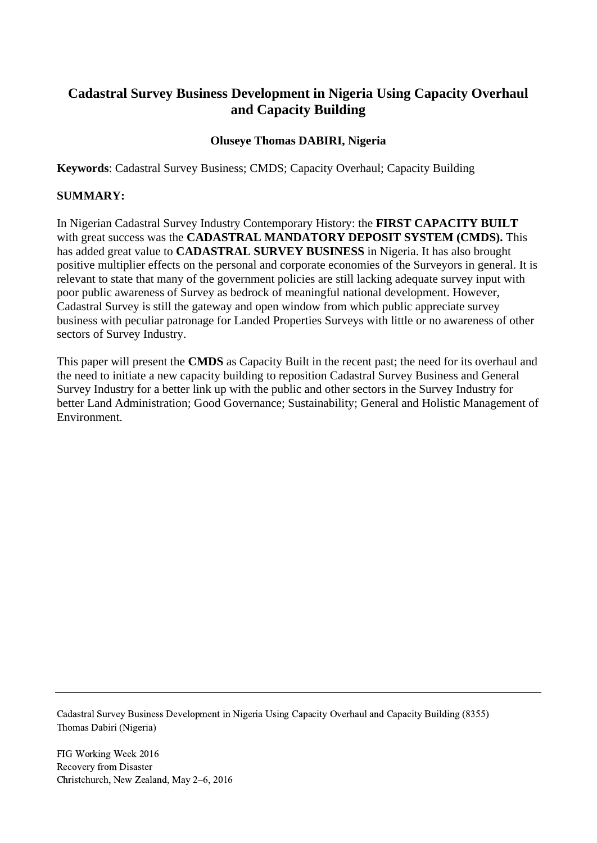# **Cadastral Survey Business Development in Nigeria Using Capacity Overhaul and Capacity Building**

#### **Oluseye Thomas DABIRI, Nigeria**

**Keywords**: Cadastral Survey Business; CMDS; Capacity Overhaul; Capacity Building

#### **SUMMARY:**

In Nigerian Cadastral Survey Industry Contemporary History: the **FIRST CAPACITY BUILT** with great success was the **CADASTRAL MANDATORY DEPOSIT SYSTEM (CMDS).** This has added great value to **CADASTRAL SURVEY BUSINESS** in Nigeria. It has also brought positive multiplier effects on the personal and corporate economies of the Surveyors in general. It is relevant to state that many of the government policies are still lacking adequate survey input with poor public awareness of Survey as bedrock of meaningful national development. However, Cadastral Survey is still the gateway and open window from which public appreciate survey business with peculiar patronage for Landed Properties Surveys with little or no awareness of other sectors of Survey Industry.

This paper will present the **CMDS** as Capacity Built in the recent past; the need for its overhaul and the need to initiate a new capacity building to reposition Cadastral Survey Business and General Survey Industry for a better link up with the public and other sectors in the Survey Industry for better Land Administration; Good Governance; Sustainability; General and Holistic Management of Environment.

Cadastral Survey Business Development in Nigeria Using Capacity Overhaul and Capacity Building (8355) Thomas Dabiri (Nigeria)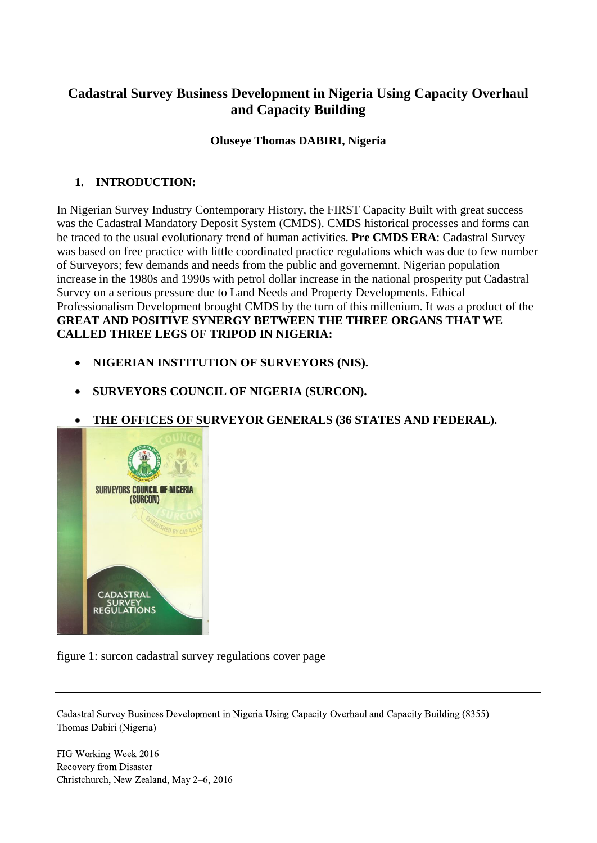# **Cadastral Survey Business Development in Nigeria Using Capacity Overhaul and Capacity Building**

#### **Oluseye Thomas DABIRI, Nigeria**

# **1. INTRODUCTION:**

In Nigerian Survey Industry Contemporary History, the FIRST Capacity Built with great success was the Cadastral Mandatory Deposit System (CMDS). CMDS historical processes and forms can be traced to the usual evolutionary trend of human activities. **Pre CMDS ERA**: Cadastral Survey was based on free practice with little coordinated practice regulations which was due to few number of Surveyors; few demands and needs from the public and governemnt. Nigerian population increase in the 1980s and 1990s with petrol dollar increase in the national prosperity put Cadastral Survey on a serious pressure due to Land Needs and Property Developments. Ethical Professionalism Development brought CMDS by the turn of this millenium. It was a product of the **GREAT AND POSITIVE SYNERGY BETWEEN THE THREE ORGANS THAT WE CALLED THREE LEGS OF TRIPOD IN NIGERIA:**

- **NIGERIAN INSTITUTION OF SURVEYORS (NIS).**
- **SURVEYORS COUNCIL OF NIGERIA (SURCON).**
- **THE OFFICES OF SURVEYOR GENERALS (36 STATES AND FEDERAL).**



figure 1: surcon cadastral survey regulations cover page

Cadastral Survey Business Development in Nigeria Using Capacity Overhaul and Capacity Building (8355) Thomas Dabiri (Nigeria)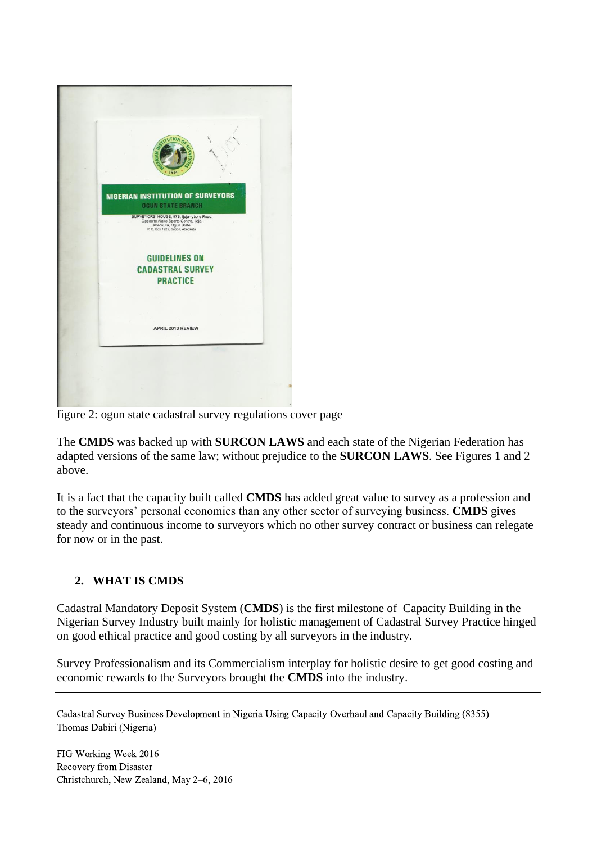

figure 2: ogun state cadastral survey regulations cover page

The **CMDS** was backed up with **SURCON LAWS** and each state of the Nigerian Federation has adapted versions of the same law; without prejudice to the **SURCON LAWS**. See Figures 1 and 2 above.

It is a fact that the capacity built called **CMDS** has added great value to survey as a profession and to the surveyors' personal economics than any other sector of surveying business. **CMDS** gives steady and continuous income to surveyors which no other survey contract or business can relegate for now or in the past.

# **2. WHAT IS CMDS**

Cadastral Mandatory Deposit System (**CMDS**) is the first milestone of Capacity Building in the Nigerian Survey Industry built mainly for holistic management of Cadastral Survey Practice hinged on good ethical practice and good costing by all surveyors in the industry.

Survey Professionalism and its Commercialism interplay for holistic desire to get good costing and economic rewards to the Surveyors brought the **CMDS** into the industry.

Cadastral Survey Business Development in Nigeria Using Capacity Overhaul and Capacity Building (8355) Thomas Dabiri (Nigeria)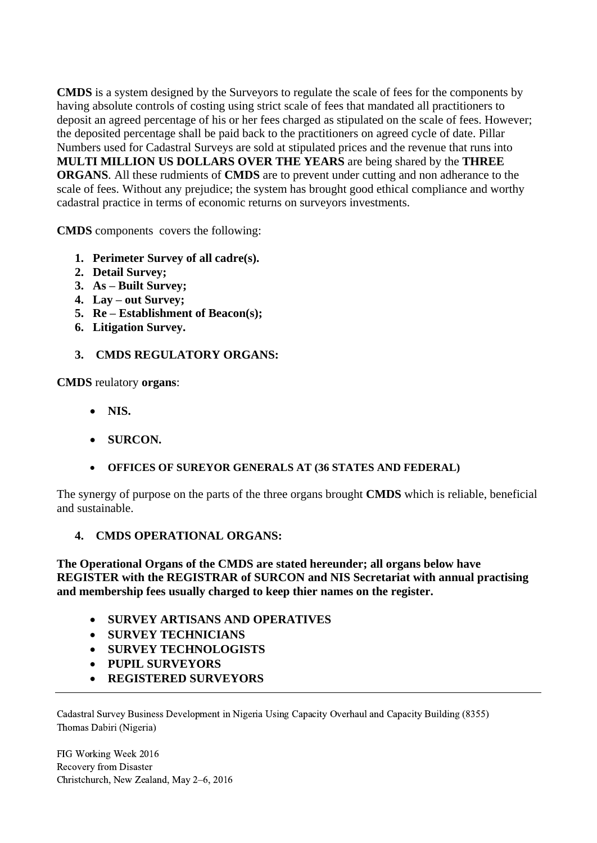**CMDS** is a system designed by the Surveyors to regulate the scale of fees for the components by having absolute controls of costing using strict scale of fees that mandated all practitioners to deposit an agreed percentage of his or her fees charged as stipulated on the scale of fees. However; the deposited percentage shall be paid back to the practitioners on agreed cycle of date. Pillar Numbers used for Cadastral Surveys are sold at stipulated prices and the revenue that runs into **MULTI MILLION US DOLLARS OVER THE YEARS** are being shared by the **THREE ORGANS**. All these rudmients of **CMDS** are to prevent under cutting and non adherance to the scale of fees. Without any prejudice; the system has brought good ethical compliance and worthy cadastral practice in terms of economic returns on surveyors investments.

**CMDS** components covers the following:

- **1. Perimeter Survey of all cadre(s).**
- **2. Detail Survey;**
- **3. As – Built Survey;**
- **4. Lay – out Survey;**
- **5. Re – Establishment of Beacon(s);**
- **6. Litigation Survey.**
- **3. CMDS REGULATORY ORGANS:**

**CMDS** reulatory **organs**:

- **NIS.**
- **SURCON.**
- **OFFICES OF SUREYOR GENERALS AT (36 STATES AND FEDERAL)**

The synergy of purpose on the parts of the three organs brought **CMDS** which is reliable, beneficial and sustainable.

#### **4. CMDS OPERATIONAL ORGANS:**

**The Operational Organs of the CMDS are stated hereunder; all organs below have REGISTER with the REGISTRAR of SURCON and NIS Secretariat with annual practising and membership fees usually charged to keep thier names on the register.** 

- **SURVEY ARTISANS AND OPERATIVES**
- **SURVEY TECHNICIANS**
- **SURVEY TECHNOLOGISTS**
- **PUPIL SURVEYORS**
- **REGISTERED SURVEYORS**

Cadastral Survey Business Development in Nigeria Using Capacity Overhaul and Capacity Building (8355) Thomas Dabiri (Nigeria)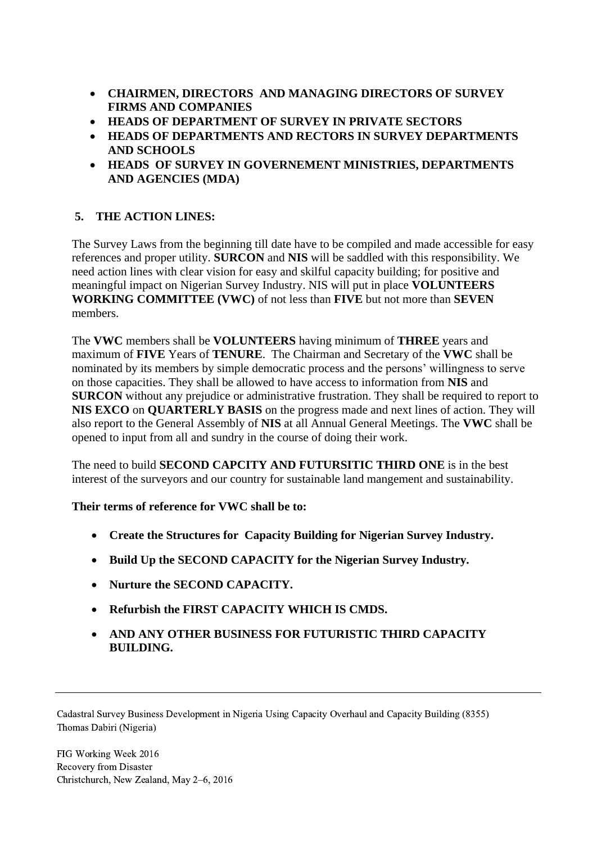- **CHAIRMEN, DIRECTORS AND MANAGING DIRECTORS OF SURVEY FIRMS AND COMPANIES**
- **HEADS OF DEPARTMENT OF SURVEY IN PRIVATE SECTORS**
- **HEADS OF DEPARTMENTS AND RECTORS IN SURVEY DEPARTMENTS AND SCHOOLS**
- **HEADS OF SURVEY IN GOVERNEMENT MINISTRIES, DEPARTMENTS AND AGENCIES (MDA)**

# **5. THE ACTION LINES:**

The Survey Laws from the beginning till date have to be compiled and made accessible for easy references and proper utility. **SURCON** and **NIS** will be saddled with this responsibility. We need action lines with clear vision for easy and skilful capacity building; for positive and meaningful impact on Nigerian Survey Industry. NIS will put in place **VOLUNTEERS WORKING COMMITTEE (VWC)** of not less than **FIVE** but not more than **SEVEN** members.

The **VWC** members shall be **VOLUNTEERS** having minimum of **THREE** years and maximum of **FIVE** Years of **TENURE**. The Chairman and Secretary of the **VWC** shall be nominated by its members by simple democratic process and the persons' willingness to serve on those capacities. They shall be allowed to have access to information from **NIS** and **SURCON** without any prejudice or administrative frustration. They shall be required to report to **NIS EXCO** on **QUARTERLY BASIS** on the progress made and next lines of action. They will also report to the General Assembly of **NIS** at all Annual General Meetings. The **VWC** shall be opened to input from all and sundry in the course of doing their work.

The need to build **SECOND CAPCITY AND FUTURSITIC THIRD ONE** is in the best interest of the surveyors and our country for sustainable land mangement and sustainability.

**Their terms of reference for VWC shall be to:**

- **Create the Structures for Capacity Building for Nigerian Survey Industry.**
- **Build Up the SECOND CAPACITY for the Nigerian Survey Industry.**
- **Nurture the SECOND CAPACITY.**
- **Refurbish the FIRST CAPACITY WHICH IS CMDS.**
- **AND ANY OTHER BUSINESS FOR FUTURISTIC THIRD CAPACITY BUILDING.**

Cadastral Survey Business Development in Nigeria Using Capacity Overhaul and Capacity Building (8355) Thomas Dabiri (Nigeria)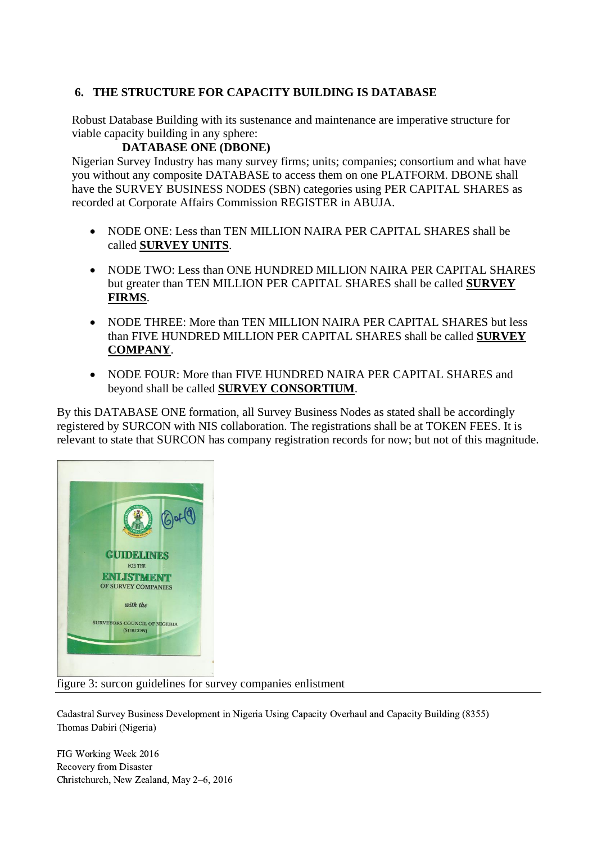# **6. THE STRUCTURE FOR CAPACITY BUILDING IS DATABASE**

Robust Database Building with its sustenance and maintenance are imperative structure for viable capacity building in any sphere:

#### **DATABASE ONE (DBONE)**

Nigerian Survey Industry has many survey firms; units; companies; consortium and what have you without any composite DATABASE to access them on one PLATFORM. DBONE shall have the SURVEY BUSINESS NODES (SBN) categories using PER CAPITAL SHARES as recorded at Corporate Affairs Commission REGISTER in ABUJA.

- NODE ONE: Less than TEN MILLION NAIRA PER CAPITAL SHARES shall be called **SURVEY UNITS**.
- NODE TWO: Less than ONE HUNDRED MILLION NAIRA PER CAPITAL SHARES but greater than TEN MILLION PER CAPITAL SHARES shall be called **SURVEY FIRMS**.
- NODE THREE: More than TEN MILLION NAIRA PER CAPITAL SHARES but less than FIVE HUNDRED MILLION PER CAPITAL SHARES shall be called **SURVEY COMPANY**.
- NODE FOUR: More than FIVE HUNDRED NAIRA PER CAPITAL SHARES and beyond shall be called **SURVEY CONSORTIUM**.

By this DATABASE ONE formation, all Survey Business Nodes as stated shall be accordingly registered by SURCON with NIS collaboration. The registrations shall be at TOKEN FEES. It is relevant to state that SURCON has company registration records for now; but not of this magnitude.



figure 3: surcon guidelines for survey companies enlistment

Cadastral Survey Business Development in Nigeria Using Capacity Overhaul and Capacity Building (8355) Thomas Dabiri (Nigeria)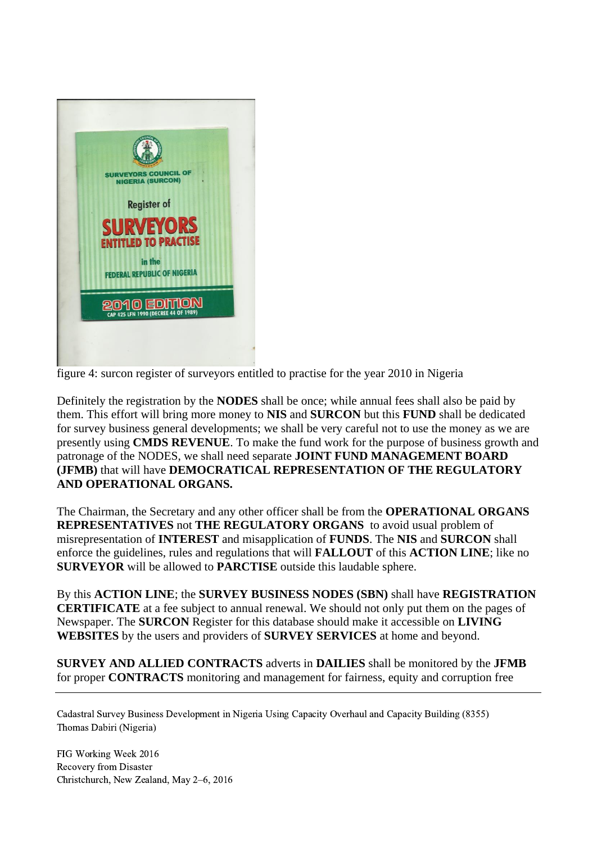

figure 4: surcon register of surveyors entitled to practise for the year 2010 in Nigeria

Definitely the registration by the **NODES** shall be once; while annual fees shall also be paid by them. This effort will bring more money to **NIS** and **SURCON** but this **FUND** shall be dedicated for survey business general developments; we shall be very careful not to use the money as we are presently using **CMDS REVENUE**. To make the fund work for the purpose of business growth and patronage of the NODES, we shall need separate **JOINT FUND MANAGEMENT BOARD (JFMB)** that will have **DEMOCRATICAL REPRESENTATION OF THE REGULATORY AND OPERATIONAL ORGANS.**

The Chairman, the Secretary and any other officer shall be from the **OPERATIONAL ORGANS REPRESENTATIVES** not **THE REGULATORY ORGANS** to avoid usual problem of misrepresentation of **INTEREST** and misapplication of **FUNDS**. The **NIS** and **SURCON** shall enforce the guidelines, rules and regulations that will **FALLOUT** of this **ACTION LINE**; like no **SURVEYOR** will be allowed to **PARCTISE** outside this laudable sphere.

By this **ACTION LINE**; the **SURVEY BUSINESS NODES (SBN)** shall have **REGISTRATION CERTIFICATE** at a fee subject to annual renewal. We should not only put them on the pages of Newspaper. The **SURCON** Register for this database should make it accessible on **LIVING WEBSITES** by the users and providers of **SURVEY SERVICES** at home and beyond.

**SURVEY AND ALLIED CONTRACTS** adverts in **DAILIES** shall be monitored by the **JFMB** for proper **CONTRACTS** monitoring and management for fairness, equity and corruption free

Cadastral Survey Business Development in Nigeria Using Capacity Overhaul and Capacity Building (8355) Thomas Dabiri (Nigeria)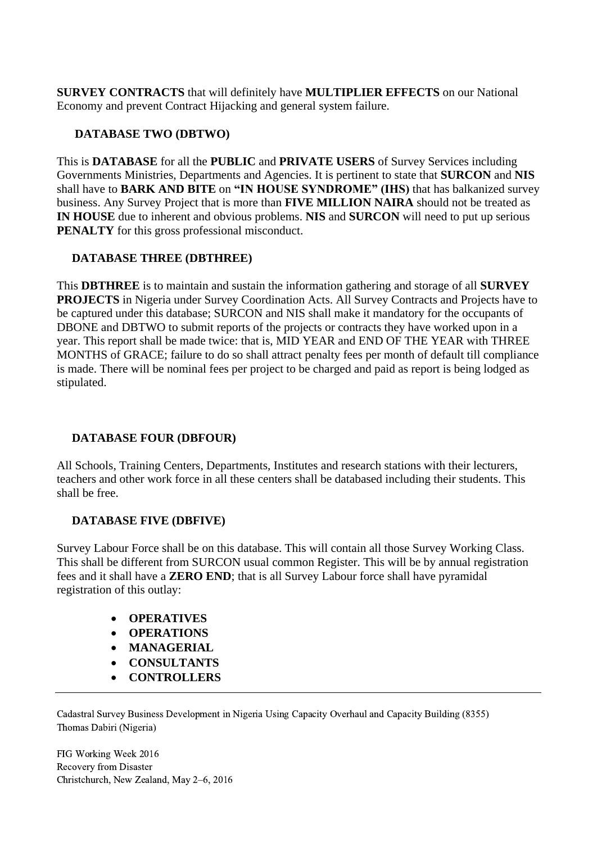**SURVEY CONTRACTS** that will definitely have **MULTIPLIER EFFECTS** on our National Economy and prevent Contract Hijacking and general system failure.

# **DATABASE TWO (DBTWO)**

This is **DATABASE** for all the **PUBLIC** and **PRIVATE USERS** of Survey Services including Governments Ministries, Departments and Agencies. It is pertinent to state that **SURCON** and **NIS**  shall have to **BARK AND BITE** on **"IN HOUSE SYNDROME" (IHS)** that has balkanized survey business. Any Survey Project that is more than **FIVE MILLION NAIRA** should not be treated as **IN HOUSE** due to inherent and obvious problems. **NIS** and **SURCON** will need to put up serious **PENALTY** for this gross professional misconduct.

## **DATABASE THREE (DBTHREE)**

This **DBTHREE** is to maintain and sustain the information gathering and storage of all **SURVEY PROJECTS** in Nigeria under Survey Coordination Acts. All Survey Contracts and Projects have to be captured under this database; SURCON and NIS shall make it mandatory for the occupants of DBONE and DBTWO to submit reports of the projects or contracts they have worked upon in a year. This report shall be made twice: that is, MID YEAR and END OF THE YEAR with THREE MONTHS of GRACE; failure to do so shall attract penalty fees per month of default till compliance is made. There will be nominal fees per project to be charged and paid as report is being lodged as stipulated.

#### **DATABASE FOUR (DBFOUR)**

All Schools, Training Centers, Departments, Institutes and research stations with their lecturers, teachers and other work force in all these centers shall be databased including their students. This shall be free.

#### **DATABASE FIVE (DBFIVE)**

Survey Labour Force shall be on this database. This will contain all those Survey Working Class. This shall be different from SURCON usual common Register. This will be by annual registration fees and it shall have a **ZERO END**; that is all Survey Labour force shall have pyramidal registration of this outlay:

- **OPERATIVES**
- **•** OPERATIONS
- **MANAGERIAL**
- **CONSULTANTS**
- **CONTROLLERS**

Cadastral Survey Business Development in Nigeria Using Capacity Overhaul and Capacity Building (8355) Thomas Dabiri (Nigeria)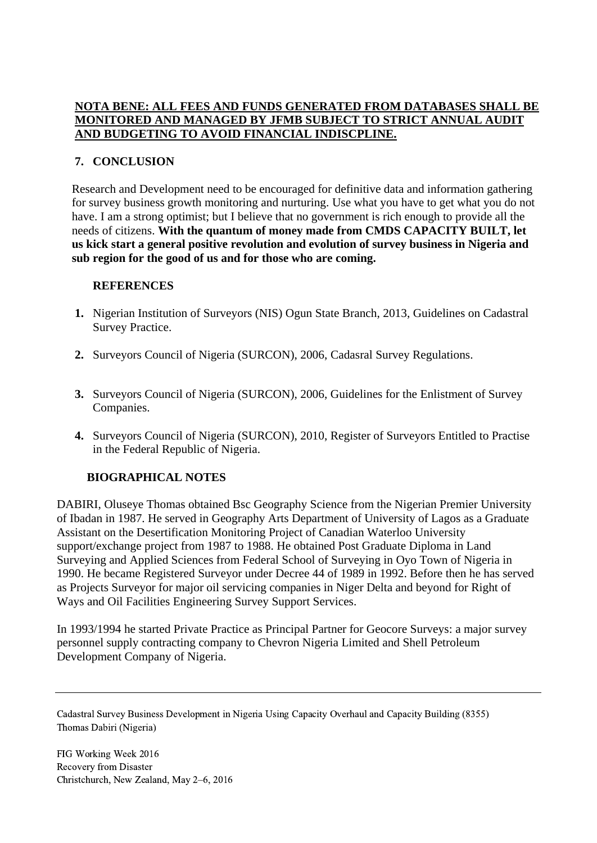#### **NOTA BENE: ALL FEES AND FUNDS GENERATED FROM DATABASES SHALL BE MONITORED AND MANAGED BY JFMB SUBJECT TO STRICT ANNUAL AUDIT AND BUDGETING TO AVOID FINANCIAL INDISCPLINE.**

# **7. CONCLUSION**

Research and Development need to be encouraged for definitive data and information gathering for survey business growth monitoring and nurturing. Use what you have to get what you do not have. I am a strong optimist; but I believe that no government is rich enough to provide all the needs of citizens. **With the quantum of money made from CMDS CAPACITY BUILT, let us kick start a general positive revolution and evolution of survey business in Nigeria and sub region for the good of us and for those who are coming.**

#### **REFERENCES**

- **1.** Nigerian Institution of Surveyors (NIS) Ogun State Branch, 2013, Guidelines on Cadastral Survey Practice.
- **2.** Surveyors Council of Nigeria (SURCON), 2006, Cadasral Survey Regulations.
- **3.** Surveyors Council of Nigeria (SURCON), 2006, Guidelines for the Enlistment of Survey Companies.
- **4.** Surveyors Council of Nigeria (SURCON), 2010, Register of Surveyors Entitled to Practise in the Federal Republic of Nigeria.

#### **BIOGRAPHICAL NOTES**

DABIRI, Oluseye Thomas obtained Bsc Geography Science from the Nigerian Premier University of Ibadan in 1987. He served in Geography Arts Department of University of Lagos as a Graduate Assistant on the Desertification Monitoring Project of Canadian Waterloo University support/exchange project from 1987 to 1988. He obtained Post Graduate Diploma in Land Surveying and Applied Sciences from Federal School of Surveying in Oyo Town of Nigeria in 1990. He became Registered Surveyor under Decree 44 of 1989 in 1992. Before then he has served as Projects Surveyor for major oil servicing companies in Niger Delta and beyond for Right of Ways and Oil Facilities Engineering Survey Support Services.

In 1993/1994 he started Private Practice as Principal Partner for Geocore Surveys: a major survey personnel supply contracting company to Chevron Nigeria Limited and Shell Petroleum Development Company of Nigeria.

Cadastral Survey Business Development in Nigeria Using Capacity Overhaul and Capacity Building (8355) Thomas Dabiri (Nigeria)